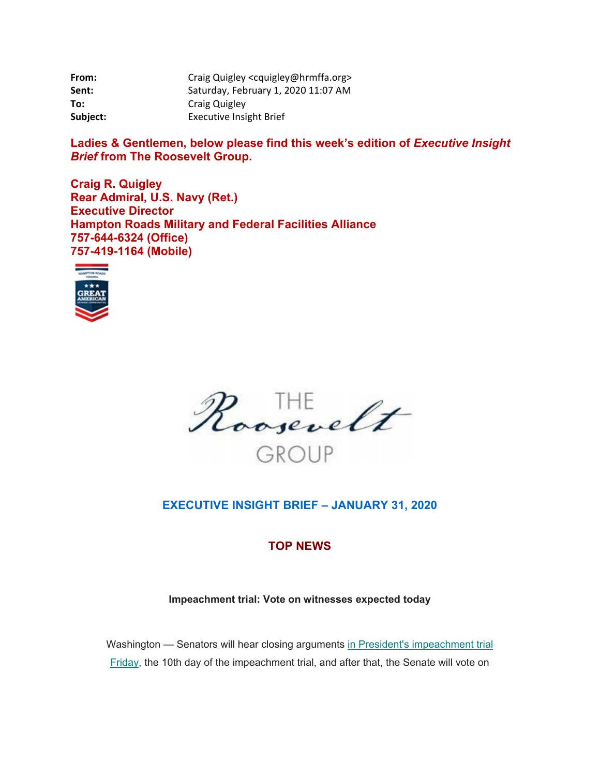| From:    | Craig Quigley <cquigley@hrmffa.org></cquigley@hrmffa.org> |
|----------|-----------------------------------------------------------|
| Sent:    | Saturday, February 1, 2020 11:07 AM                       |
| To:      | Craig Quigley                                             |
| Subject: | <b>Executive Insight Brief</b>                            |

Ladies & Gentlemen, below please find this week's edition of *Executive Insight Brief* **from The Roosevelt Group.** 

**Craig R. Quigley Rear Admiral, U.S. Navy (Ret.) Executive Director Hampton Roads Military and Federal Facilities Alliance 757-644-6324 (Office) 757-419-1164 (Mobile)** 





# **EXECUTIVE INSIGHT BRIEF – JANUARY 31, 2020**

# **TOP NEWS**

## **Impeachment trial: Vote on witnesses expected today**

Washington — Senators will hear closing arguments in President's impeachment trial Friday, the 10th day of the impeachment trial, and after that, the Senate will vote on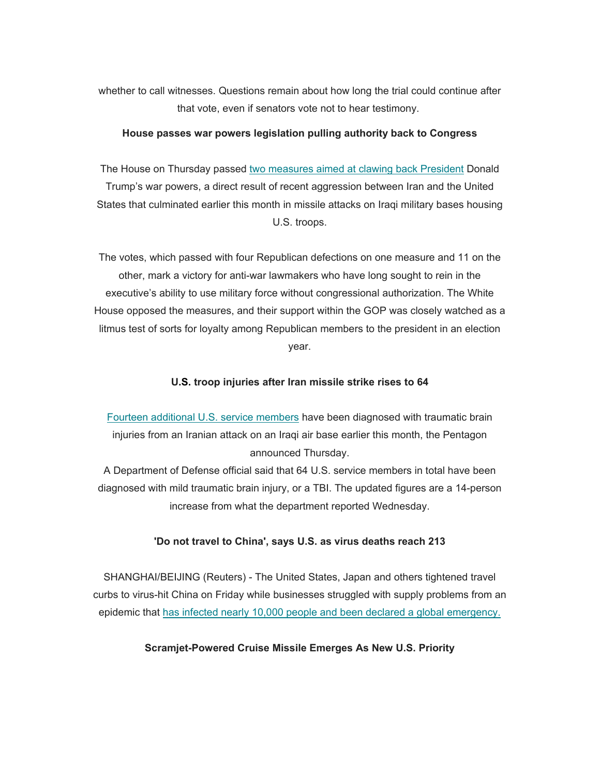whether to call witnesses. Questions remain about how long the trial could continue after that vote, even if senators vote not to hear testimony.

#### **House passes war powers legislation pulling authority back to Congress**

The House on Thursday passed two measures aimed at clawing back President Donald Trump's war powers, a direct result of recent aggression between Iran and the United States that culminated earlier this month in missile attacks on Iraqi military bases housing U.S. troops.

The votes, which passed with four Republican defections on one measure and 11 on the other, mark a victory for anti-war lawmakers who have long sought to rein in the executive's ability to use military force without congressional authorization. The White House opposed the measures, and their support within the GOP was closely watched as a litmus test of sorts for loyalty among Republican members to the president in an election year.

#### **U.S. troop injuries after Iran missile strike rises to 64**

Fourteen additional U.S. service members have been diagnosed with traumatic brain injuries from an Iranian attack on an Iraqi air base earlier this month, the Pentagon announced Thursday.

A Department of Defense official said that 64 U.S. service members in total have been diagnosed with mild traumatic brain injury, or a TBI. The updated figures are a 14-person increase from what the department reported Wednesday.

#### **'Do not travel to China', says U.S. as virus deaths reach 213**

SHANGHAI/BEIJING (Reuters) - The United States, Japan and others tightened travel curbs to virus-hit China on Friday while businesses struggled with supply problems from an epidemic that has infected nearly 10,000 people and been declared a global emergency.

#### **Scramjet-Powered Cruise Missile Emerges As New U.S. Priority**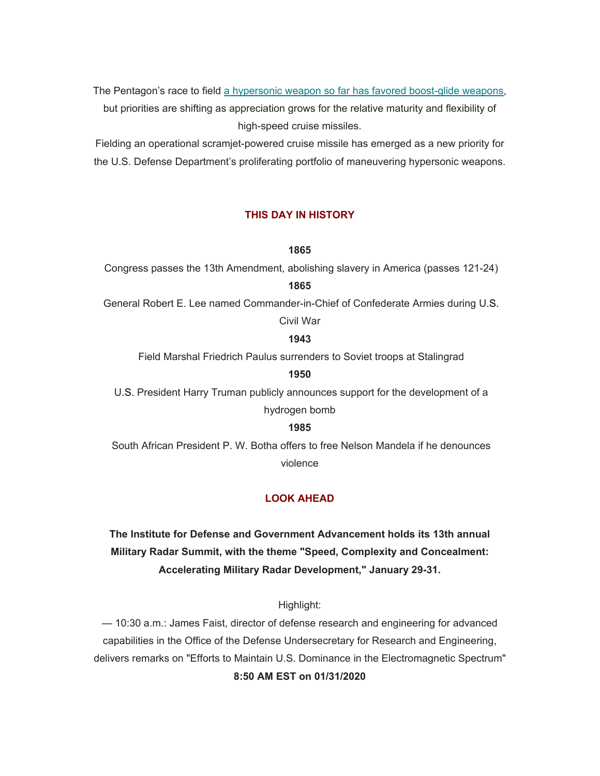The Pentagon's race to field a hypersonic weapon so far has favored boost-glide weapons,

but priorities are shifting as appreciation grows for the relative maturity and flexibility of high-speed cruise missiles.

Fielding an operational scramjet-powered cruise missile has emerged as a new priority for the U.S. Defense Department's proliferating portfolio of maneuvering hypersonic weapons.

### **THIS DAY IN HISTORY**

#### **1865**

Congress passes the 13th Amendment, abolishing slavery in America (passes 121-24)

#### **1865**

 General Robert E. Lee named Commander-in-Chief of Confederate Armies during U.S. Civil War

## **1943**

Field Marshal Friedrich Paulus surrenders to Soviet troops at Stalingrad

#### **1950**

 U.S. President Harry Truman publicly announces support for the development of a hydrogen bomb

### **1985**

 South African President P. W. Botha offers to free Nelson Mandela if he denounces violence

### **LOOK AHEAD**

# **The Institute for Defense and Government Advancement holds its 13th annual Military Radar Summit, with the theme "Speed, Complexity and Concealment: Accelerating Military Radar Development," January 29-31.**

Highlight:

— 10:30 a.m.: James Faist, director of defense research and engineering for advanced capabilities in the Office of the Defense Undersecretary for Research and Engineering, delivers remarks on "Efforts to Maintain U.S. Dominance in the Electromagnetic Spectrum" **8:50 AM EST on 01/31/2020**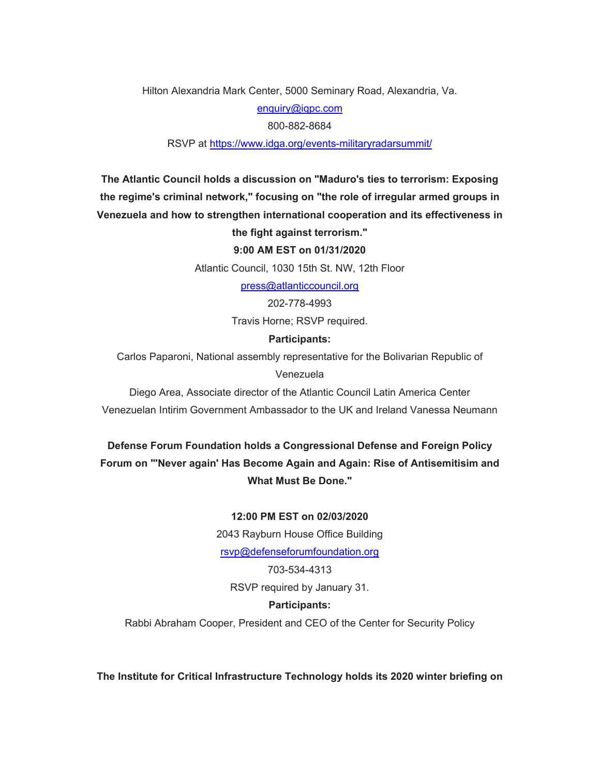Hilton Alexandria Mark Center, 5000 Seminary Road, Alexandria, Va.

[enquiry@iqpc.com](mailto:enquiry@iqpc.com) 

800-882-8684

RSVP at<https://www.idga.org/events-militaryradarsummit>/

**The Atlantic Council holds a discussion on "Maduro's ties to terrorism: Exposing the regime's criminal network," focusing on "the role of irregular armed groups in Venezuela and how to strengthen international cooperation and its effectiveness in** 

#### **the fight against terrorism."**

**9:00 AM EST on 01/31/2020** 

Atlantic Council, 1030 15th St. NW, 12th Floor

[press@atlanticcouncil.org](mailto:press@atlanticcouncil.org)

202-778-4993

Travis Horne; RSVP required.

#### **Participants:**

Carlos Paparoni, National assembly representative for the Bolivarian Republic of

Venezuela

Diego Area, Associate director of the Atlantic Council Latin America Center Venezuelan Intirim Government Ambassador to the UK and Ireland Vanessa Neumann

**Defense Forum Foundation holds a Congressional Defense and Foreign Policy Forum on "'Never again' Has Become Again and Again: Rise of Antisemitisim and What Must Be Done."** 

#### **12:00 PM EST on 02/03/2020**

2043 Rayburn House Office Building [rsvp@defenseforumfoundation.org](mailto:rsvp@defenseforumfoundation.org) 

703-534-4313 RSVP required by January 31.

## **Participants:**

Rabbi Abraham Cooper, President and CEO of the Center for Security Policy

**The Institute for Critical Infrastructure Technology holds its 2020 winter briefing on**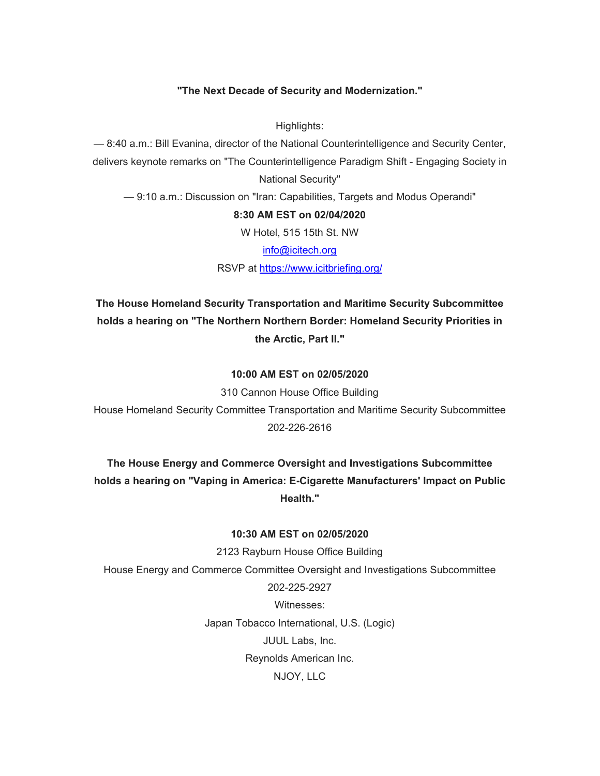## **"The Next Decade of Security and Modernization."**

Highlights:

— 8:40 a.m.: Bill Evanina, director of the National Counterintelligence and Security Center, delivers keynote remarks on "The Counterintelligence Paradigm Shift - Engaging Society in National Security"

— 9:10 a.m.: Discussion on "Iran: Capabilities, Targets and Modus Operandi"

#### **8:30 AM EST on 02/04/2020**

W Hotel, 515 15th St. NW

[info@icitech.org](mailto:info@icitech.org) 

RSVP at <https://www.icitbriefing.org>/

**The House Homeland Security Transportation and Maritime Security Subcommittee holds a hearing on "The Northern Northern Border: Homeland Security Priorities in the Arctic, Part II."** 

#### **10:00 AM EST on 02/05/2020**

310 Cannon House Office Building House Homeland Security Committee Transportation and Maritime Security Subcommittee 202-226-2616

**The House Energy and Commerce Oversight and Investigations Subcommittee holds a hearing on "Vaping in America: E-Cigarette Manufacturers' Impact on Public Health."** 

#### **10:30 AM EST on 02/05/2020**

2123 Rayburn House Office Building House Energy and Commerce Committee Oversight and Investigations Subcommittee 202-225-2927 Witnesses: Japan Tobacco International, U.S. (Logic) JUUL Labs, Inc. Reynolds American Inc. NJOY, LLC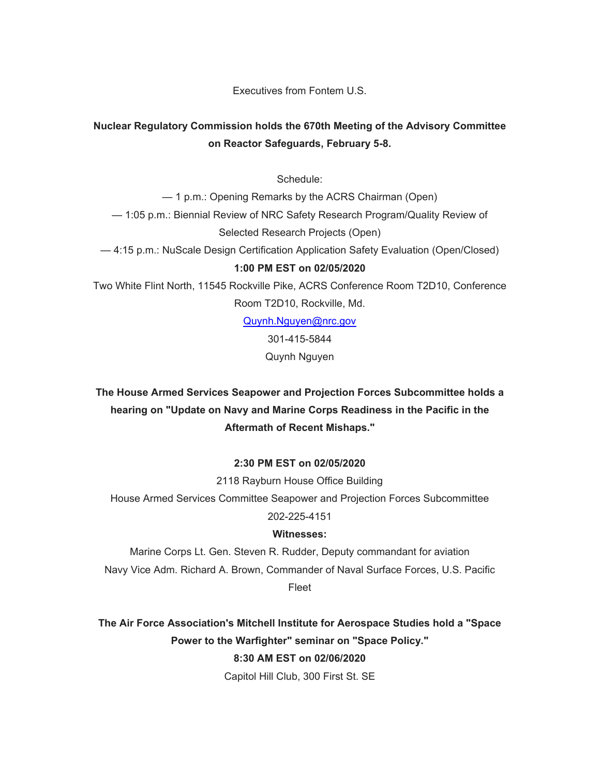Executives from Fontem U.S.

# **Nuclear Regulatory Commission holds the 670th Meeting of the Advisory Committee on Reactor Safeguards, February 5-8.**

Schedule:

— 1 p.m.: Opening Remarks by the ACRS Chairman (Open) — 1:05 p.m.: Biennial Review of NRC Safety Research Program/Quality Review of Selected Research Projects (Open)

— 4:15 p.m.: NuScale Design Certification Application Safety Evaluation (Open/Closed)

## **1:00 PM EST on 02/05/2020**

Two White Flint North, 11545 Rockville Pike, ACRS Conference Room T2D10, Conference Room T2D10, Rockville, Md.

[Quynh.Nguyen@nrc.gov](mailto:Quynh.Nguyen@nrc.gov)

301-415-5844

Quynh Nguyen

# **The House Armed Services Seapower and Projection Forces Subcommittee holds a hearing on "Update on Navy and Marine Corps Readiness in the Pacific in the Aftermath of Recent Mishaps."**

## **2:30 PM EST on 02/05/2020**

2118 Rayburn House Office Building

House Armed Services Committee Seapower and Projection Forces Subcommittee

202-225-4151

## **Witnesses:**

Marine Corps Lt. Gen. Steven R. Rudder, Deputy commandant for aviation Navy Vice Adm. Richard A. Brown, Commander of Naval Surface Forces, U.S. Pacific Fleet

**The Air Force Association's Mitchell Institute for Aerospace Studies hold a "Space Power to the Warfighter" seminar on "Space Policy." 8:30 AM EST on 02/06/2020** 

Capitol Hill Club, 300 First St. SE